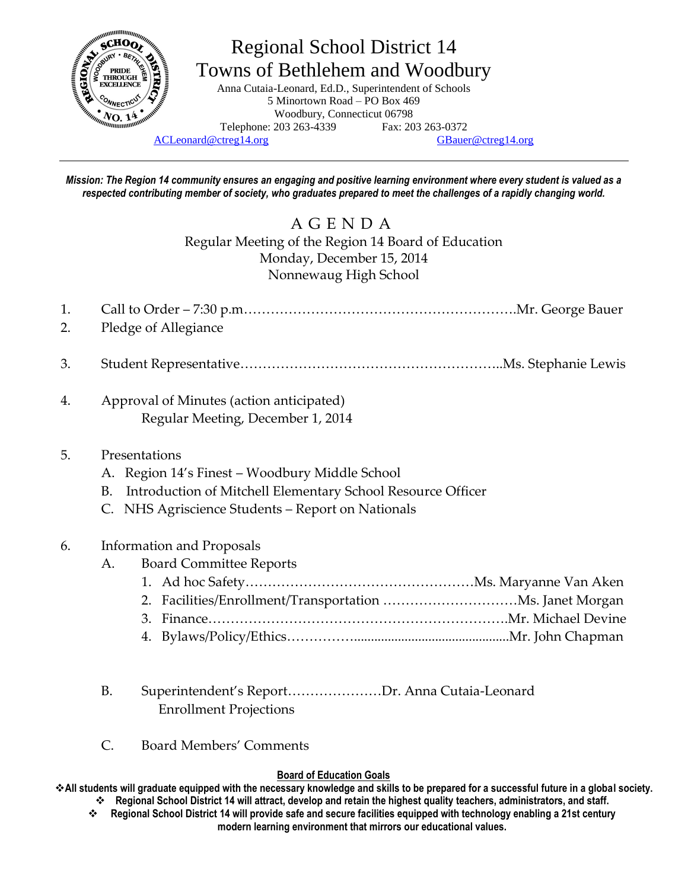

# Regional School District 14 Towns of Bethlehem and Woodbury

Anna Cutaia-Leonard, Ed.D., Superintendent of Schools 5 Minortown Road – PO Box 469 Woodbury, Connecticut 06798 Telephone: 203 263-4339 Fax: 203 263-0372

[ACLeonard@ctreg14.org](mailto:ACLeonard@ctreg14.org) [GBauer@ctreg14.org](mailto:GBauer@ctreg14.org)

*Mission: The Region 14 community ensures an engaging and positive learning environment where every student is valued as a respected contributing member of society, who graduates prepared to meet the challenges of a rapidly changing world.*

# A G E N D A Regular Meeting of the Region 14 Board of Education Monday, December 15, 2014 Nonnewaug High School

| 1. |                                                                   |
|----|-------------------------------------------------------------------|
| 2. | Pledge of Allegiance                                              |
| 3. |                                                                   |
| 4. | Approval of Minutes (action anticipated)                          |
|    | Regular Meeting, December 1, 2014                                 |
| 5. | Presentations                                                     |
|    | A. Region 14's Finest – Woodbury Middle School                    |
|    | Introduction of Mitchell Elementary School Resource Officer<br>B. |
|    | NHS Agriscience Students - Report on Nationals                    |
| 6. | <b>Information and Proposals</b>                                  |
|    | <b>Board Committee Reports</b><br>А.                              |
|    |                                                                   |
|    |                                                                   |
|    | 3.                                                                |
|    |                                                                   |
|    |                                                                   |

- B. Superintendent's Report…………………Dr. Anna Cutaia-Leonard Enrollment Projections
- C. Board Members' Comments

#### **Board of Education Goals**

**All students will graduate equipped with the necessary knowledge and skills to be prepared for a successful future in a global society. Regional School District 14 will attract, develop and retain the highest quality teachers, administrators, and staff.**

 **Regional School District 14 will provide safe and secure facilities equipped with technology enabling a 21st century modern learning environment that mirrors our educational values.**